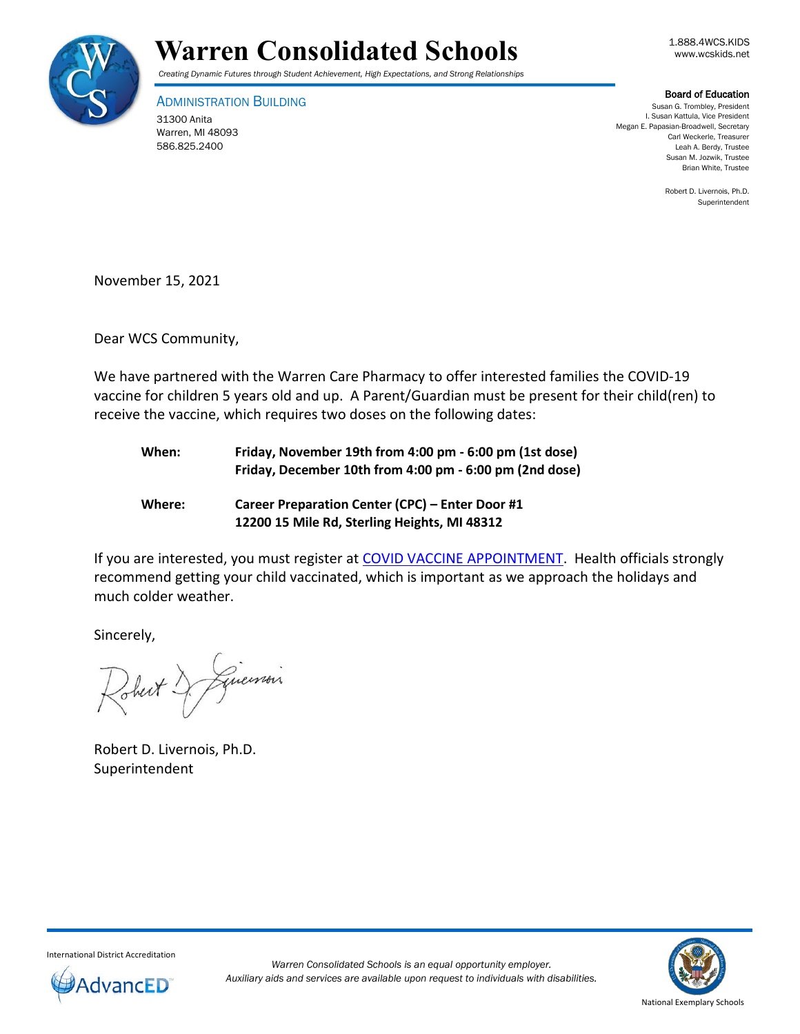

## Board of Education

ADMINISTRATION BUILDING 31300 Anita Warren, MI 48093 586.825.2400

Susan G. Trombley, President I. Susan Kattula, Vice President Megan E. Papasian-Broadwell, Secretary Carl Weckerle, Treasurer Leah A. Berdy, Trustee Susan M. Jozwik, Trustee Brian White, Trustee

> Robert D. Livernois, Ph.D. Superintendent

November 15, 2021

Dear WCS Community,

We have partnered with the Warren Care Pharmacy to offer interested families the COVID-19 vaccine for children 5 years old and up. A Parent/Guardian must be present for their child(ren) to receive the vaccine, which requires two doses on the following dates:

| When: | Friday, November 19th from 4:00 pm - 6:00 pm (1st dose) |
|-------|---------------------------------------------------------|
|       | Friday, December 10th from 4:00 pm - 6:00 pm (2nd dose) |
|       |                                                         |

**Where: Career Preparation Center (CPC) – Enter Door #1 12200 15 Mile Rd, Sterling Heights, MI 48312**

If you are interested, you must register at [COVID VACCINE APPOINTMENT.](https://www.signupgenius.com/go/30E0A45A4AC29ABF94-pfizer) Health officials strongly recommend getting your child vaccinated, which is important as we approach the holidays and much colder weather.

Sincerely,

Just & Guerrois

Robert D. Livernois, Ph.D. Superintendent



International District Accreditation